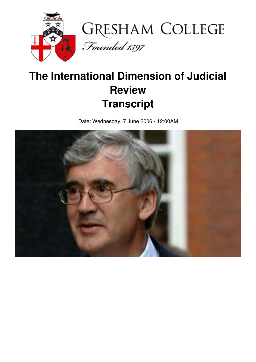

## **The International Dimension of Judicial Review Transcript**

Date: Wednesday, 7 June 2006 - 12:00AM

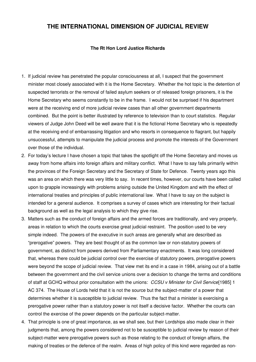## **THE INTERNATIONAL DIMENSION OF JUDICIAL REVIEW**

## **The Rt Hon Lord Justice Richards**

- 1. If judicial review has penetrated the popular consciousness at all, I suspect that the government minister most closely associated with it is the Home Secretary. Whether the hot topic is the detention of suspected terrorists or the removal of failed asylum seekers or of released foreign prisoners, it is the Home Secretary who seems constantly to be in the frame. I would not be surprised if his department were at the receiving end of more judicial review cases than all other government departments combined. But the point is better illustrated by reference to television than to court statistics. Regular viewers of Judge John Deed will be well aware that it is the fictional Home Secretary who is repeatedly at the receiving end of embarrassing litigation and who resorts in consequence to flagrant, but happily unsuccessful, attempts to manipulate the judicial process and promote the interests of the Government over those of the individual.
- 2. For today's lecture I have chosen a topic that takes the spotlight off the Home Secretary and moves us away from home affairs into foreign affairs and military conflict. What I have to say falls primarily within the provinces of the Foreign Secretary and the Secretary of State for Defence. Twenty years ago this was an area on which there was very little to say. In recent times, however, our courts have been called upon to grapple increasingly with problems arising outside the United Kingdom and with the effect of international treaties and principles of public international law. What I have to say on the subject is intended for a general audience. It comprises a survey of cases which are interesting for their factual background as well as the legal analysis to which they give rise.
- 3. Matters such as the conduct of foreign affairs and the armed forces are traditionally, and very properly, areas in relation to which the courts exercise great judicial restraint. The position used to be very simple indeed. The powers of the executive in such areas are generally what are described as "prerogative" powers. They are best thought of as the common law or non-statutory powers of government, as distinct from powers derived from Parliamentary enactments. It was long considered that, whereas there could be judicial control over the exercise of statutory powers, prerogative powers were beyond the scope of judicial review. That view met its end in a case in 1984, arising out of a battle between the government and the civil service unions over a decision to change the terms and conditions of staff at GCHQ without prior consultation with the unions: *CCSU v Minister for Civil Service*[1985] 1 AC 374. The House of Lords held that it is not the source but the subject-matter of a power that determines whether it is susceptible to judicial review. Thus the fact that a minister is exercising a prerogative power rather than a statutory power is not itself a decisive factor. Whether the courts can control the exercise of the power depends on the particular subject-matter.
- 4. That principle is one of great importance, as we shall see, but their Lordships also made clear in their judgments that, among the powers considered not to be susceptible to judicial review by reason of their subject-matter were prerogative powers such as those relating to the conduct of foreign affairs, the making of treaties or the defence of the realm. Areas of high policy of this kind were regarded as non-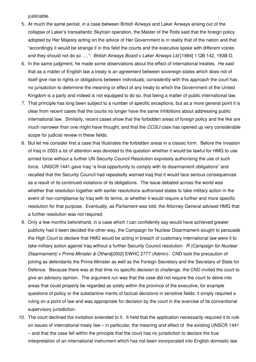justiciable.

- 5. At much the same period, in a case between British Airways and Laker Airways arising out of the collapse of Laker's transatlantic Skytrain operation, the Master of the Rolls said that the foreign policy adopted by Her Majesty acting on the advice of Her Government is in reality that of the nation and that "accordingly it would be strange if in this field the courts and the executive spoke with different voices and they should not do so ….": *British Airways Board v Laker Airways Ltd* [1984] 1 QB 142, 193B-D.
- 6. In the same judgment, he made some observations about the effect of international treaties. He said that as a matter of English law a treaty is an agreement between sovereign states which does not of itself give rise to rights or obligations between individuals; consistently with this approach the court has no jurisdiction to determine the meaning or effect of any treaty to which the Government of the United Kingdom is a party and indeed is not equipped to do so, that being a matter of public international law.
- 7. That principle has long been subject to a number of specific exceptions, but as a more general point it is clear from recent cases that the courts no longer have the same inhibitions about addressing public international law. Similarly, recent cases show that the forbidden areas of foreign policy and the like are much narrower than one might have thought, and that the *CCSU* case has opened up very considerable scope for judicial review in these fields.
- 8. But let me consider first a case that illustrates the forbidden areas in a classic form. Before the invasion of Iraq in 2003 a lot of attention was devoted to the question whether it would be lawful for HMG to use armed force without a further UN Security Council Resolution expressly authorising the use of such force. UNSCR 1441 gave Iraq "a final opportunity to comply with its disarmament obligations" and recalled that the Security Council had repeatedly warned Iraq that it would face serious consequences as a result of its continued violations of its obligations. The issue debated across the world was whether that resolution together with earlier resolutions authorised states to take military action in the event of non-compliance by Iraq with its terms, or whether it would require a further and more specific resolution for that purpose. Eventually, as Parliament was told, the Attorney General advised HMG that a further resolution was not required.
- 9. Only a few months beforehand, in a case which I can confidently say would have achieved greater publicity had it been decided the other way, the Campaign for Nuclear Disarmament sought to persuade the High Court to declare that HMG would be acting in breach of customary international law were it to take military action against Iraq without a further Security Council resolution: *R (Campaign for Nuclear Disarmament) v Prime Minister & Others*[2002] EWHC 2777 (Admin). CND took the precaution of joining as defendants the Prime Minister as well as the Foreign Secretary and the Secretary of State for Defence. Because there was at that time no specific decision to challenge, the CND invited the court to give an advisory opinion. The argument run was that the case did not require the court to delve into areas that could properly be regarded as solely within the province of the executive, for example questions of policy or the substantive merits of factual decisions in sensitive fields; it simply required a ruling on a point of law and was appropriate for decision by the court in the exercise of its conventional supervisory jurisdiction.
- 10. The court declined the invitation extended to it. It held that the application necessarily required it to rule on issues of international treaty law – in particular, the meaning and effect of the existing UNSCR 1441 – and that the case fell within the principle that the court has no jurisdiction to declare the true interpretation of an international instrument which has not been incorporated into English domestic law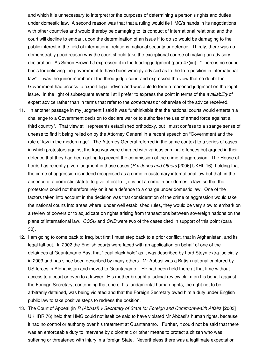and which it is unnecessary to interpret for the purposes of determining a person's rights and duties under domestic law. A second reason was that that a ruling would tie HMG's hands in its negotiations with other countries and would thereby be damaging to its conduct of international relations; and the court will decline to embark upon the determination of an issue if to do so would be damaging to the public interest in the field of international relations, national security or defence. Thirdly, there was no demonstrably good reason why the court should take the exceptional course of making an advisory declaration. As Simon Brown LJ expressed it in the leading judgment (para 47(iii)): "There is no sound basis for believing the government to have been wrongly advised as to the true position in international law". I was the junior member of the three-judge court and expressed the view that no doubt the Government had access to expert legal advice and was able to form a reasoned judgment on the legal issue. In the light of subsequent events I still prefer to express the point in terms of the *availability* of expert advice rather than in terms that refer to the *correctness* or otherwise of the advice received.

- 11. In another passage in my judgment I said it was "unthinkable that the national courts would entertain a challenge to a Government decision to declare war or to authorise the use of armed force against a third country". That view still represents established orthodoxy, but I must confess to a strange sense of unease to find it being relied on by the Attorney General in a recent speech on "Government and the rule of law in the modern age". The Attorney General referred in the same context to a series of cases in which protestors against the Iraq war were charged with various criminal offences but argued in their defence that they had been acting to prevent the commission of the crime of aggression. The House of Lords has recently given judgment in those cases (*R v Jones and Others* [2006] UKHL 16), holding that the crime of aggression is indeed recognised as a crime in customary international law but that, in the absence of a domestic statute to give effect to it, it is not a crime in our domestic law; so that the protestors could not therefore rely on it as a defence to a charge under domestic law. One of the factors taken into account in the decision was that consideration of the crime of aggression would take the national courts into areas where, under well established rules, they would be very slow to embark on a review of powers or to adjudicate on rights arising from transactions between sovereign nations on the plane of international law. *CCSU* and *CND* were two of the cases cited in support of this point (para 30).
- 12. I am going to come back to Iraq, but first I must step back to a prior conflict, that in Afghanistan, and its legal fall-out. In 2002 the English courts were faced with an application on behalf of one of the detainees at Guantanamo Bay, that "legal black hole" as it was described by Lord Steyn extra-judicially in 2003 and has since been described by many others. Mr Abbasi was a British national captured by US forces in Afghanistan and moved to Guantanamo. He had been held there at that time without access to a court or even to a lawyer. His mother brought a judicial review claim on his behalf against the Foreign Secretary, contending that one of his fundamental human rights, the right not to be arbitrarily detained, was being violated and that the Foreign Secretary owed him a duty under English public law to take positive steps to redress the position.
- 13. The Court of Appeal (in *R (Abbasi) v Secretary of State for Foreign and Commonwealth Affairs* [2003] UKHRR 76) held that HMG could not itself be said to have violated Mr Abbasi's human rights, because it had no control or authority over his treatment at Guantanamo. Further, it could not be said that there was an enforceable duty to intervene by diplomatic or other means to protect a citizen who was suffering or threatened with injury in a foreign State. Nevertheless there was a legitimate expectation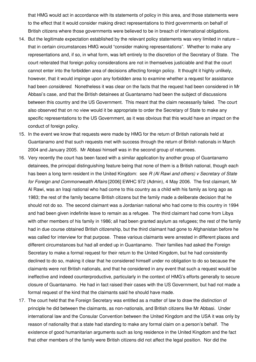that HMG would act in accordance with its statements of policy in this area, and those statements were to the effect that it would consider making direct representations to third governments on behalf of British citizens where those governments were believed to be in breach of international obligations.

- 14. But the legitimate expectation established by the relevant policy statements was very limited in nature that in certain circumstances HMG would "consider making representations". Whether to make any representations and, if so, in what form, was left entirely to the discretion of the Secretary of State. The court reiterated that foreign policy considerations are not in themselves justiciable and that the court cannot enter into the forbidden area of decisions affecting foreign policy. It thought it highly unlikely, however, that it would impinge upon any forbidden area to examine whether a request for assistance had been *considered*. Nonetheless it was clear on the facts that the request had been considered in Mr Abbasi's case, and that the British detainees at Guantanamo had been the subject of discussions between this country and the US Government. This meant that the claim necessarily failed. The court also observed that on no view would it be appropriate to order the Secretary of State to make any specific representations to the US Government, as it was obvious that this would have an impact on the conduct of foreign policy.
- 15. In the event we know that requests were made by HMG for the return of British nationals held at Guantanamo and that such requests met with success through the return of British nationals in March 2004 and January 2005. Mr Abbasi himself was in the second group of returnees.
- 16. Very recently the court has been faced with a similar application by another group of Guantanamo detainees, the principal distinguishing feature being that none of them is a British national, though each has been a long term resident in the United Kingdom: see *R (Al Rawi and others) v Secretary of State for Foreign and Commonwealth Affairs* [2006] EWHC 972 (Admin), 4 May 2006. The first claimant, Mr Al Rawi, was an Iraqi national who had come to this country as a child with his family as long ago as 1983; the rest of the family became British citizens but the family made a deliberate decision that he should not do so. The second claimant was a Jordanian national who had come to this country in 1994 and had been given indefinite leave to remain as a refugee. The third claimant had come from Libya with other members of his family in 1986; all had been granted asylum as refugees; the rest of the family had in due course obtained British citizenship, but the third claimant had gone to Afghanistan before he was called for interview for that purpose. These various claimants were arrested in different places and different circumstances but had all ended up in Guantanamo. Their families had asked the Foreign Secretary to make a formal request for their return to the United Kingdom, but he had consistently declined to do so, making it clear that he considered himself under no obligation to do so because the claimants were not British nationals, and that he considered in any event that such a request would be ineffective and indeed counterproductive, particularly in the context of HMG's efforts generally to secure closure of Guantanamo. He had in fact raised their cases with the US Government, but had not made a formal request of the kind that the claimants said he should have made.
- 17. The court held that the Foreign Secretary was entitled as a matter of law to draw the distinction of principle he did between the claimants, as non-nationals, and British citizens like Mr Abbasi. Under international law and the Consular Convention between the United Kingdom and the USA it was only by reason of nationality that a state had standing to make any formal claim on a person's behalf. The existence of good humanitarian arguments such as long residence in the United Kingdom and the fact that other members of the family were British citizens did not affect the legal position. Nor did the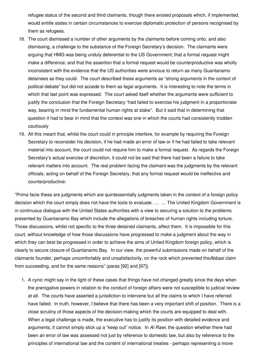refugee status of the second and third claimants, though there existed proposals which, if implemented, would entitle states in certain circumstances to exercise diplomatic protection of persons recognised by them as refugees.

- 18. The court dismissed a number of other arguments by the claimants before coming onto, and also dismissing, a challenge to the substance of the Foreign Secretary's decision. The claimants were arguing that HMG was being unduly deferential to the US Government; that a formal request might make a difference; and that the assertion that a formal request would be counterproductive was wholly inconsistent with the evidence that the US authorities were anxious to return as many Guantanamo detainees as they could. The court described these arguments as "strong arguments in the context of political debate" but did not accede to them as legal arguments. It is interesting to note the terms in which that last point was expressed. The court asked itself whether the arguments were sufficient to justify the conclusion that the Foreign Secretary "had failed to exercise his judgment in a proportionate way, bearing in mind the fundamental human rights at stake". But it said that in determining that question it had to bear in mind that the context was one in which the courts had consistently trodden cautiously
- 19. All this meant that, whilst the court could in principle interfere, for example by requiring the Foreign Secretary to reconsider his decision, if he had made an error of law or if he had failed to take relevant material into account, the court could not require him to make a formal request. As regards the Foreign Secretary's actual exercise of discretion, it could not be said that there had been a failure to take relevant matters into account. The real problem facing the claimant was the judgments by the relevant officials, acting on behalf of the Foreign Secretary, that any formal request would be ineffective and counterproductive:

"Prima facie these are judgments which are quintessentially judgments taken in the context of a foreign policy decision which the court simply does not have the tools to evaluate. … … The United Kingdom Government is in continuous dialogue with the United States authorities with a view to securing a solution to the problems presented by Guantanamo Bay which include the allegations of breaches of human rights including torture. Those discussions, whilst not specific to the three detained claimants, affect them. It is impossible for this court, without knowledge of how those discussions have progressed to make a judgment about the way in which they can best be progressed in order to achieve the aims of United Kingdom foreign policy, which is clearly to secure closure of Guantanamo Bay. In our view, the powerful submissions made on behalf of the claimants founder, perhaps uncomfortably and unsatisfactorily, on the rock which prevented the*Abbasi* claim from succeeding, and for the same reasons" (paras [92] and [97]).

1. A cynic might say in the light of these cases that things have not changed greatly since the days when the prerogative powers in relation to the conduct of foreign affairs were not susceptible to judicial review at all. The courts have asserted a jurisdiction to intervene but all the claims to which I have referred have failed. In truth, however, I believe that there has been a very important shift of position. There is a close scrutiny of those aspects of the decision-making which the courts are equipped to deal with. When a legal challenge is made, the executive has to justify its position with detailed evidence and arguments; it cannot simply stick up a "keep out" notice. In *Al Rawi*, the question whether there had been an error of law was assessed not just by reference to domestic law, but also by reference to the principles of international law and the content of international treaties - perhaps representing a move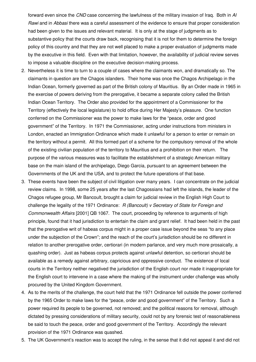forward even since the *CND* case concerning the lawfulness of the military invasion of Iraq. Both in *Al Rawi* and in *Abbasi* there was a careful assessment of the evidence to ensure that proper consideration had been given to the issues and relevant material. It is only at the stage of judgments as to substantive policy that the courts draw back, recognising that it is not for them to determine the foreign policy of this country and that they are not well placed to make a proper evaluation of judgments made by the executive in this field. Even with that limitation, however, the availability of judicial review serves to impose a valuable discipline on the executive decision-making process.

- 2. Nevertheless it is time to turn to a couple of cases where the claimants won, and dramatically so. The claimants in question are the Chagos islanders. Their home was once the Chagos Archipelago in the Indian Ocean, formerly governed as part of the British colony of Mauritius. By an Order made in 1965 in the exercise of powers deriving from the prerogative, it became a separate colony called the British Indian Ocean Territory. The Order also provided for the appointment of a Commissioner for the Territory (effectively the local legislature) to hold office during Her Majesty's pleasure. One function conferred on the Commissioner was the power to make laws for the "peace, order and good government" of the Territory. In 1971 the Commissioner, acting under instructions from ministers in London, enacted an Immigration Ordinance which made it unlawful for a person to enter or remain on the territory without a permit. All this formed part of a scheme for the compulsory removal of the whole of the existing civilian population of the territory to Mauritius and a prohibition on their return. The purpose of the various measures was to facilitate the establishment of a strategic American military base on the main island of the archipelago, Diego Garcia, pursuant to an agreement between the Governments of the UK and the USA, and to protect the future operations of that base.
- 3. These events have been the subject of civil litigation over many years. I can concentrate on the judicial review claims. In 1998, some 25 years after the last Chagossians had left the islands, the leader of the Chagos refugee group, Mr Bancoult, brought a claim for judicial review in the English High Court to challenge the legality of the 1971 Ordinance: *R (Bancoult) v Secretary of State for Foreign and Commonwealth Affairs* [2001] QB 1067. The court, proceeding by reference to arguments of high principle, found that it had jurisdiction to entertain the claim and grant relief. It had been held in the past that the prerogative writ of habeas corpus might in a proper case issue beyond the seas "to any place under the subjection of the Crown"; and the reach of the court's jurisdiction should be no different in relation to another prerogative order, certiorari (in modern parlance, and very much more prosaically, a quashing order). Just as habeas corpus protects against unlawful detention, so certiorari should be available as a remedy against arbitrary, capricious and oppressive conduct. The existence of local courts in the Territory neither negatived the jurisdiction of the English court nor made it inappropriate for the English court to intervene in a case where the making of the instrument under challenge was wholly procured by the United Kingdom Government.
- 4. As to the merits of the challenge, the court held that the 1971 Ordinance fell outside the power conferred by the 1965 Order to make laws for the "peace, order and good government" of the Territory. Such a power required its people to be governed, not removed; and the political reasons for removal, although dictated by pressing considerations of military security, could not by any forensic test of reasonableness be said to touch the peace, order and good government of the Territory. Accordingly the relevant provision of the 1971 Ordinance was quashed.
- 5. The UK Government's reaction was to accept the ruling, in the sense that it did not appeal it and did not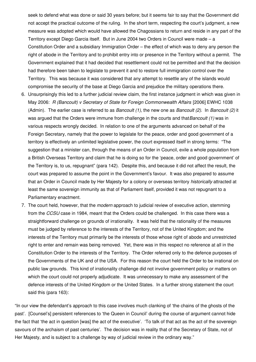seek to defend what was done or said 30 years before; but it seems fair to say that the Government did not accept the practical outcome of the ruling. In the short term, respecting the court's judgment, a new measure was adopted which would have allowed the Chagossians to return and reside in any part of the Territory except Diego Garcia itself. But in June 2004 two Orders in Council were made – a Constitution Order and a subsidiary Immigration Order – the effect of which was to deny any person the right of abode in the Territory and to prohibit entry into or presence in the Territory without a permit. The Government explained that it had decided that resettlement could not be permitted and that the decision had therefore been taken to legislate to prevent it and to restore full immigration control over the Territory. This was because it was considered that any attempt to resettle any of the islands would compromise the security of the base at Diego Garcia and prejudice the military operations there.

- 6. Unsurprisingly this led to a further judicial review claim, the first instance judgment in which was given in May 2006: *R (Bancoult) v Secretary of State for Foreign Commonwealth Affairs* [2006] EWHC 1038 (Admin). The earlier case is referred to as *Bancoult (1)*, the new one as *Bancoult (2)*. In *Bancoult (2)* it was argued that the Orders were immune from challenge in the courts and that*Bancoult (1)* was in various respects wrongly decided. In relation to one of the arguments advanced on behalf of the Foreign Secretary, namely that the power to legislate for the peace, order and good government of a territory is effectively an unlimited legislative power, the court expressed itself in strong terms: "The suggestion that a minister can, through the means of an Order in Council, exile a whole population from a British Overseas Territory and claim that he is doing so for the 'peace, order and good government' of the Territory is, to us, repugnant" (para 142). Despite this, and because it did not affect the result, the court was prepared to assume the point in the Government's favour. It was also prepared to assume that an Order in Council made by Her Majesty for a colony or overseas territory *historically* attracted at least the same sovereign immunity as that of Parliament itself, provided it was not repugnant to a Parliamentary enactment.
- 7. The court held, however, that the *modern* approach to judicial review of executive action, stemming from the *CCSU* case in 1984, meant that the Orders could be challenged. In this case there was a straightforward challenge on grounds of irrationality. It was held that the rationality of the measures must be judged by reference to the interests of the Territory, not of the United Kingdom; and the interests of the Territory must primarily be the interests of those whose right of abode and unrestricted right to enter and remain was being removed. Yet, there was in this respect no reference at all in the Constitution Order to the interests of the Territory. The Order referred only to the defence purposes of the Governments of the UK and of the USA. For this reason the court held the Order to be irrational on public law grounds. This kind of irrationality challenge did not involve government policy or matters on which the court could not properly adjudicate. It was unnecessary to make any assessment of the defence interests of the United Kingdom or the United States. In a further strong statement the court said this (para 163):

"In our view the defendant's approach to this case involves much clanking of 'the chains of the ghosts of the past'. [Counsel's] persistent references to 'the Queen in Council' during the course of argument cannot hide the fact that 'the act in question [was] the act of the executive'. 'To talk of that act as the act of the sovereign savours of the archaism of past centuries'. The decision was in reality that of the Secretary of State, not of Her Majesty, and is subject to a challenge by way of judicial review in the ordinary way."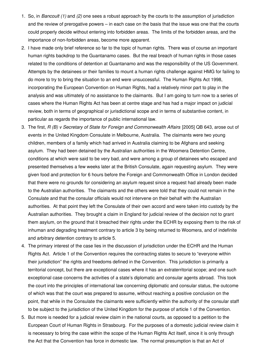- 1. So, in *Bancoult (1)* and *(2)* one sees a robust approach by the courts to the assumption of jurisdiction and the review of prerogative powers – in each case on the basis that the issue was one that the courts could properly decide without entering into forbidden areas. The limits of the forbidden areas, and the importance of non-forbidden areas, become more apparent.
- 2. I have made only brief reference so far to the topic of human rights. There was of course an important human rights backdrop to the Guantanamo cases. But the real breach of human rights in those cases related to the conditions of detention at Guantanamo and was the responsibility of the US Government. Attempts by the detainees or their families to mount a human rights challenge against HMG for failing to do more to try to bring the situation to an end were unsuccessful. The Human Rights Act 1998, incorporating the European Convention on Human Rights, had a relatively minor part to play in the analysis and was ultimately of no assistance to the claimants. But I am going to turn now to a series of cases where the Human Rights Act has been at centre stage and has had a major impact on judicial review, both in terms of geographical or jurisdictional scope and in terms of substantive content, in particular as regards the importance of public international law.
- 3. The first, *R (B) v Secretary of State for Foreign and Commonwealth Affairs* [2005] QB 643, arose out of events in the United Kingdom Consulate in Melbourne, Australia. The claimants were two young children, members of a family which had arrived in Australia claiming to be Afghans and seeking asylum. They had been detained by the Australian authorities in the Woomera Detention Centre, conditions at which were said to be very bad, and were among a group of detainees who escaped and presented themselves a few weeks later at the British Consulate, again requesting asylum. They were given food and protection for 6 hours before the Foreign and Commonwealth Office in London decided that there were no grounds for considering an asylum request since a request had already been made to the Australian authorities. The claimants and the others were told that they could not remain in the Consulate and that the consular officials would not intervene on their behalf with the Australian authorities. At that point they left the Consulate of their own accord and were taken into custody by the Australian authorities. They brought a claim in England for judicial review of the decision not to grant them asylum, on the ground that it breached their rights under the ECHR by exposing them to the risk of inhuman and degrading treatment contrary to article 3 by being returned to Woomera, and of indefinite and arbitrary detention contrary to article 5.
- 4. The primary interest of the case lies in the discussion of jurisdiction under the ECHR and the Human Rights Act. Article 1 of the Convention requires the contracting states to secure to "everyone within their jurisdiction" the rights and freedoms defined in the Convention. This jurisdiction is primarily a territorial concept, but there are exceptional cases where it has an extraterritorial scope; and one such exceptional case concerns the activities of a state's diplomatic and consular agents abroad. This took the court into the principles of international law concerning diplomatic and consular status, the outcome of which was that the court was prepared to assume, without reaching a positive conclusion on the point, that while in the Consulate the claimants were sufficiently within the authority of the consular staff to be subject to the jurisdiction of the United Kingdom for the purpose of article 1 of the Convention.
- 5. But more is needed for a judicial review claim in the national courts, as opposed to a petition to the European Court of Human Rights in Strasbourg. For the purposes of a domestic judicial review claim it is necessary to bring the case within the scope of the Human Rights Act itself, since it is only through the Act that the Convention has force in domestic law. The normal presumption is that an Act of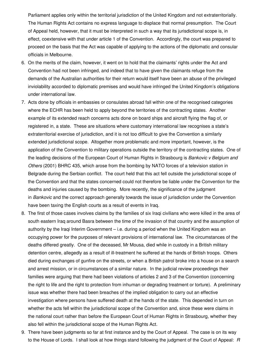Parliament applies only within the territorial jurisdiction of the United Kingdom and not extraterritorially. The Human Rights Act contains no express language to displace that normal presumption. The Court of Appeal held, however, that it must be interpreted in such a way that its jurisdictional scope is, in effect, coextensive with that under article 1 of the Convention. Accordingly, the court was prepared to proceed on the basis that the Act was capable of applying to the actions of the diplomatic and consular officials in Melbourne.

- 6. On the merits of the claim, however, it went on to hold that the claimants' rights under the Act and Convention had not been infringed, and indeed that to have given the claimants refuge from the demands of the Australian authorities for their return would itself have been an abuse of the privileged inviolability accorded to diplomatic premises and would have infringed the United Kingdom's obligations under international law.
- 7. Acts done by officials in embassies or consulates abroad fall within one of the recognised categories where the ECHR has been held to apply beyond the territories of the contracting states. Another example of its extended reach concerns acts done on board ships and aircraft flying the flag of, or registered in, a state. These are situations where customary international law recognises a state's extraterritorial exercise of jurisdiction, and it is not too difficult to give the Convention a similarly extended jurisdictional scope. Altogether more problematic and more important, however, is the application of the Convention to military operations outside the territory of the contracting states. One of the leading decisions of the European Court of Human Rights in Strasbourg is *Bankovic v Belgium and Others* (2001) BHRC 435, which arose from the bombing by NATO forces of a television station in Belgrade during the Serbian conflict. The court held that this act fell outside the jurisdictional scope of the Convention and that the states concerned could not therefore be liable under the Convention for the deaths and injuries caused by the bombing. More recently, the significance of the judgment in *Bankovic* and the correct approach generally towards the issue of jurisdiction under the Convention have been taxing the English courts as a result of events in Iraq.
- 8. The first of those cases involves claims by the families of six Iraqi civilians who were killed in the area of south eastern Iraq around Basra between the time of the invasion of that country and the assumption of authority by the Iraqi Interim Government – i.e. during a period when the United Kingdom was an occupying power for the purposes of relevant provisions of international law. The circumstances of the deaths differed greatly. One of the deceased, Mr Mousa, died while in custody in a British military detention centre, allegedly as a result of ill-treatment he suffered at the hands of British troops. Others died during exchanges of gunfire on the streets, or when a British patrol broke into a house on a search and arrest mission, or in circumstances of a similar nature. In the judicial review proceedings their families were arguing that there had been violations of articles 2 and 3 of the Convention (concerning the right to life and the right to protection from inhuman or degrading treatment or torture). A preliminary issue was whether there had been breaches of the implied obligation to carry out an effective investigation where persons have suffered death at the hands of the state. This depended in turn on whether the acts fell within the jurisdictional scope of the Convention and, since these were claims in the national court rather than before the European Court of Human Rights in Strasbourg, whether they also fell within the jurisdictional scope of the Human Rights Act.
- 9. There have been judgments so far at first instance and by the Court of Appeal. The case is on its way to the House of Lords. I shall look at how things stand following the judgment of the Court of Appeal: *R*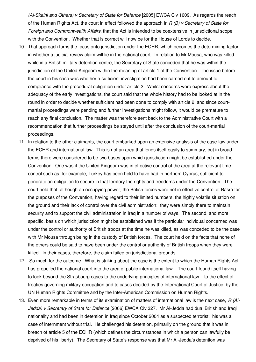*(Al-Skeini and Others) v Secretary of State for Defence* [2005] EWCA Civ 1609. As regards the reach of the Human Rights Act, the court in effect followed the approach in *R (B) v Secretary of State for Foreign and Commonwealth Affairs*, that the Act is intended to be coextensive in jurisdictional scope with the Convention. Whether that is correct will now be for the House of Lords to decide.

- 10. That approach turns the focus onto jurisdiction under the ECHR, which becomes the determining factor in whether a judicial review claim will lie in the national court. In relation to Mr Mousa, who was killed while in a British military detention centre, the Secretary of State conceded that he was within the jurisdiction of the United Kingdom within the meaning of article 1 of the Convention. The issue before the court in his case was whether a sufficient investigation had been carried out to amount to compliance with the procedural obligation under article 2. Whilst concerns were express about the adequacy of the early investigations, the court said that the whole history had to be looked at in the round in order to decide whether sufficient had been done to comply with article 2; and since courtmartial proceedings were pending and further investigations might follow, it would be premature to reach any final conclusion. The matter was therefore sent back to the Administrative Court with a recommendation that further proceedings be stayed until after the conclusion of the court-martial proceedings.
- 11. In relation to the other claimants, the court embarked upon an extensive analysis of the case-law under the ECHR and international law. This is not an area that lends itself easily to summary, but in broad terms there were considered to be two bases upon which jurisdiction might be established under the Convention. One was if the United Kingdom was in effective control of the area at the relevant time – control such as, for example, Turkey has been held to have had in northern Cyprus, sufficient to generate an obligation to secure in that territory the rights and freedoms under the Convention. The court held that, although an occupying power, the British forces were not in effective control of Basra for the purposes of the Convention, having regard to their limited numbers, the highly volatile situation on the ground and their lack of control over the civil administration: they were simply there to maintain security and to support the civil administration in Iraq in a number of ways. The second, and more specific, basis on which jurisdiction might be established was if the particular individual concerned was under the control or authority of British troops at the time he was killed, as was conceded to be the case with Mr Mousa through being in the custody of British forces. The court held on the facts that none of the others could be said to have been under the control or authority of British troops when they were killed. In their cases, therefore, the claim failed on jurisdictional grounds.
- 12. So much for the outcome. What is striking about the case is the extent to which the Human Rights Act has propelled the national court into the area of public international law. The court found itself having to look beyond the Strasbourg cases to the underlying principles of international law – to the effect of treaties governing military occupation and to cases decided by the International Court of Justice, by the UN Human Rights Committee and by the Inter-American Commission on Human Rights.
- 13. Even more remarkable in terms of its examination of matters of international law is the next case, *R (Al-Jedda) v Secretary of State for Defence* [2006] EWCA Civ 327. Mr Al-Jedda had dual British and Iraqi nationality and had been in detention in Iraq since October 2004 as a suspected terrorist: his was a case of internment without trial. He challenged his detention, primarily on the ground that it was in breach of article 5 of the ECHR (which defines the circumstances in which a person can lawfully be deprived of his liberty). The Secretary of State's response was that Mr Al-Jedda's detention was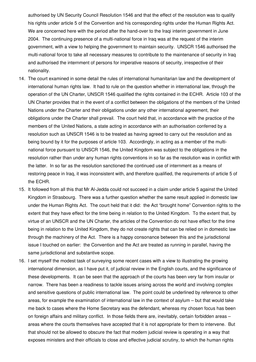authorised by UN Security Council Resolution 1546 and that the effect of the resolution was to qualify his rights under article 5 of the Convention and his corresponding rights under the Human Rights Act. We are concerned here with the period after the hand-over to the Iraqi interim government in June 2004. The continuing presence of a multi-national force in Iraq was at the request of the interim government, with a view to helping the government to maintain security. UNSCR 1546 authorised the multi-national force to take all necessary measures to contribute to the maintenance of security in Iraq and authorised the internment of persons for imperative reasons of security, irrespective of their nationality.

- 14. The court examined in some detail the rules of international humanitarian law and the development of international human rights law. It had to rule on the question whether in international law, through the operation of the UN Charter, UNSCR 1546 qualified the rights contained in the ECHR. Article 103 of the UN Charter provides that in the event of a conflict between the obligations of the members of the United Nations under the Charter and their obligations under any other international agreement, their obligations under the Charter shall prevail. The court held that, in accordance with the practice of the members of the United Nations, a state acting in accordance with an authorisation conferred by a resolution such as UNSCR 1546 is to be treated as having agreed to carry out the resolution and as being bound by it for the purposes of article 103. Accordingly, in acting as a member of the multinational force pursuant to UNSCR 1546, the United Kingdom was subject to the obligations in the resolution rather than under any human rights conventions in so far as the resolution was in conflict with the latter. In so far as the resolution sanctioned the continued use of internment as a means of restoring peace in Iraq, it was inconsistent with, and therefore qualified, the requirements of article 5 of the ECHR.
- 15. It followed from all this that Mr Al-Jedda could not succeed in a claim under article 5 against the United Kingdom in Strasbourg. There was a further question whether the same result applied in domestic law under the Human Rights Act. The court held that it did: the Act "brought home" Convention rights to the extent that they have effect for the time being in relation to the United Kingdom. To the extent that, by virtue of an UNSCR and the UN Charter, the articles of the Convention do not have effect for the time being in relation to the United Kingdom, they do not create rights that can be relied on in domestic law through the machinery of the Act. There is a happy consonance between this and the jurisdictional issue I touched on earlier: the Convention and the Act are treated as running in parallel, having the same jurisdictional and substantive scope.
- 16. I set myself the modest task of surveying some recent cases with a view to illustrating the growing international dimension, as I have put it, of judicial review in the English courts, and the significance of these developments. It can be seen that the approach of the courts has been very far from insular or narrow. There has been a readiness to tackle issues arising across the world and involving complex and sensitive questions of public international law. The point could be underlined by reference to other areas, for example the examination of international law in the context of asylum – but that would take me back to cases where the Home Secretary was the defendant, whereas my chosen focus has been on foreign affairs and military conflict. In those fields there are, inevitably, certain forbidden areas – areas where the courts themselves have accepted that it is not appropriate for them to intervene. But that should not be allowed to obscure the fact that modern judicial review is operating in a way that exposes ministers and their officials to close and effective judicial scrutiny, to which the human rights